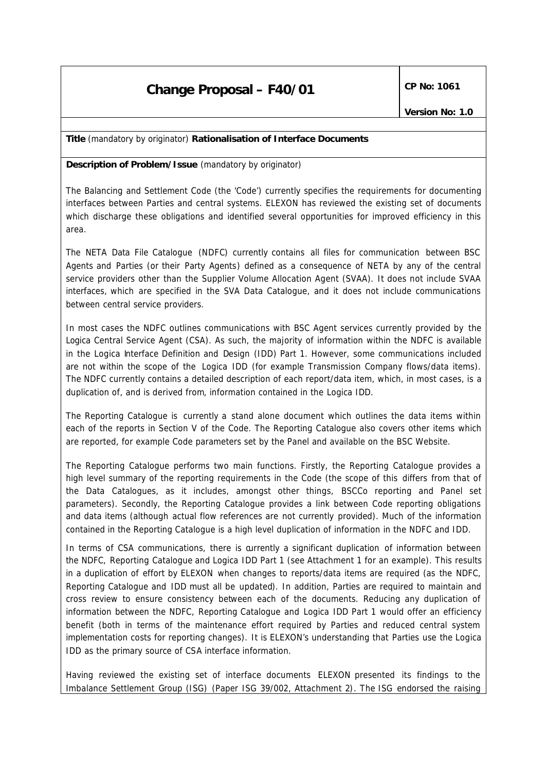**Title** *(mandatory by originator)* **Rationalisation of Interface Documents**

**Description of Problem/Issue** *(mandatory by originator)*

The Balancing and Settlement Code (the 'Code') currently specifies the requirements for documenting interfaces between Parties and central systems. ELEXON has reviewed the existing set of documents which discharge these obligations and identified several opportunities for improved efficiency in this area.

The NETA Data File Catalogue (NDFC) currently contains all files for communication between BSC Agents and Parties (or their Party Agents) defined as a consequence of NETA by any of the central service providers other than the Supplier Volume Allocation Agent (SVAA). It does not include SVAA interfaces, which are specified in the SVA Data Catalogue, and it does not include communications between central service providers.

In most cases the NDFC outlines communications with BSC Agent services currently provided by the Logica Central Service Agent (CSA). As such, the majority of information within the NDFC is available in the Logica Interface Definition and Design (IDD) Part 1. However, some communications included are not within the scope of the Logica IDD (for example Transmission Company flows/data items). The NDFC currently contains a detailed description of each report/data item, which, in most cases, is a duplication of, and is derived from, information contained in the Logica IDD.

The Reporting Catalogue is currently a stand alone document which outlines the data items within each of the reports in Section V of the Code. The Reporting Catalogue also covers other items which are reported, for example Code parameters set by the Panel and available on the BSC Website.

The Reporting Catalogue performs two main functions. Firstly, the Reporting Catalogue provides a high level summary of the reporting requirements in the Code (the scope of this differs from that of the Data Catalogues, as it includes, amongst other things, BSCCo reporting and Panel set parameters). Secondly, the Reporting Catalogue provides a link between Code reporting obligations and data items (although actual flow references are not currently provided). Much of the information contained in the Reporting Catalogue is a high level duplication of information in the NDFC and IDD.

In terms of CSA communications, there is currently a significant duplication of information between the NDFC, Reporting Catalogue and Logica IDD Part 1 (see Attachment 1 for an example). This results in a duplication of effort by ELEXON when changes to reports/data items are required (as the NDFC, Reporting Catalogue and IDD must all be updated). In addition, Parties are required to maintain and cross review to ensure consistency between each of the documents. Reducing any duplication of information between the NDFC, Reporting Catalogue and Logica IDD Part 1 would offer an efficiency benefit (both in terms of the maintenance effort required by Parties and reduced central system implementation costs for reporting changes). It is ELEXON's understanding that Parties use the Logica IDD as the primary source of CSA interface information.

Having reviewed the existing set of interface documents ELEXON presented its findings to the Imbalance Settlement Group (ISG) (Paper ISG 39/002, Attachment 2). The ISG endorsed the raising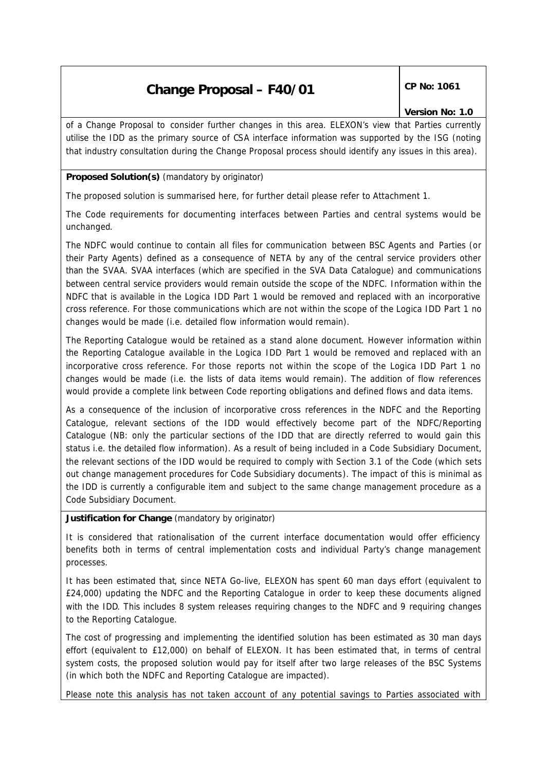of a Change Proposal to consider further changes in this area. ELEXON's view that Parties currently utilise the IDD as the primary source of CSA interface information was supported by the ISG (noting that industry consultation during the Change Proposal process should identify any issues in this area).

### **Proposed Solution(s)** *(mandatory by originator)*

The proposed solution is summarised here, for further detail please refer to Attachment 1.

The Code requirements for documenting interfaces between Parties and central systems would be unchanged.

The NDFC would continue to contain all files for communication between BSC Agents and Parties (or their Party Agents) defined as a consequence of NETA by any of the central service providers other than the SVAA. SVAA interfaces (which are specified in the SVA Data Catalogue) and communications between central service providers would remain outside the scope of the NDFC. Information within the NDFC that is available in the Logica IDD Part 1 would be removed and replaced with an incorporative cross reference. For those communications which are not within the scope of the Logica IDD Part 1 no changes would be made (i.e. detailed flow information would remain).

The Reporting Catalogue would be retained as a stand alone document. However information within the Reporting Catalogue available in the Logica IDD Part 1 would be removed and replaced with an incorporative cross reference. For those reports not within the scope of the Logica IDD Part 1 no changes would be made (i.e. the lists of data items would remain). The addition of flow references would provide a complete link between Code reporting obligations and defined flows and data items.

As a consequence of the inclusion of incorporative cross references in the NDFC and the Reporting Catalogue, relevant sections of the IDD would effectively become part of the NDFC/Reporting Catalogue (NB: only the particular sections of the IDD that are directly referred to would gain this status i.e. the detailed flow information). As a result of being included in a Code Subsidiary Document, the relevant sections of the IDD would be required to comply with Section 3.1 of the Code (which sets out change management procedures for Code Subsidiary documents). The impact of this is minimal as the IDD is currently a configurable item and subject to the same change management procedure as a Code Subsidiary Document.

#### **Justification for Change** *(mandatory by originator)*

It is considered that rationalisation of the current interface documentation would offer efficiency benefits both in terms of central implementation costs and individual Party's change management processes.

It has been estimated that, since NETA Go-live, ELEXON has spent 60 man days effort (equivalent to £24,000) updating the NDFC and the Reporting Catalogue in order to keep these documents aligned with the IDD. This includes 8 system releases requiring changes to the NDFC and 9 requiring changes to the Reporting Catalogue.

The cost of progressing and implementing the identified solution has been estimated as 30 man days effort (equivalent to £12,000) on behalf of ELEXON. It has been estimated that, in terms of central system costs, the proposed solution would pay for itself after two large releases of the BSC Systems (in which both the NDFC and Reporting Catalogue are impacted).

Please note this analysis has not taken account of any potential savings to Parties associated with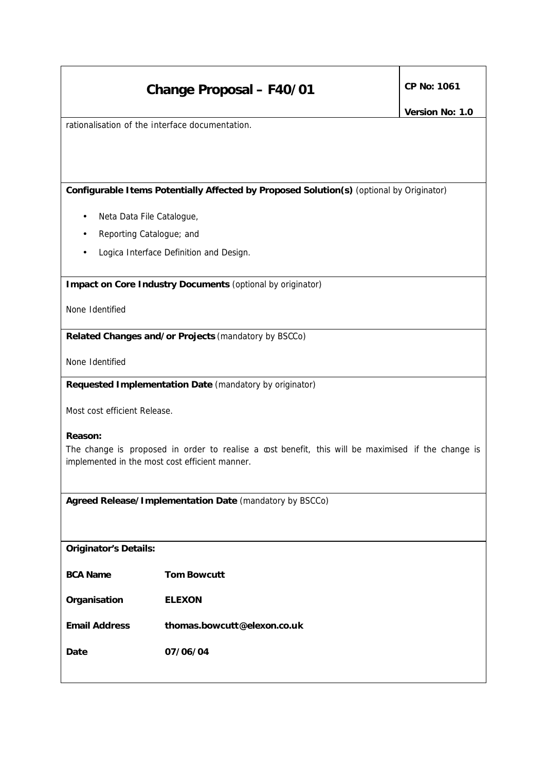rationalisation of the interface documentation.

**Configurable Items Potentially Affected by Proposed Solution(s)** *(optional by Originator)*

- Neta Data File Catalogue,
- Reporting Catalogue; and
- Logica Interface Definition and Design.

**Impact on Core Industry Documents** *(optional by originator)*

None Identified

**Related Changes and/or Projects** *(mandatory by BSCCo)*

None Identified

**Requested Implementation Date** *(mandatory by originator)*

Most cost efficient Release.

#### **Reason:**

The change is proposed in order to realise a cost benefit, this will be maximised if the change is implemented in the most cost efficient manner.

**Agreed Release/Implementation Date** *(mandatory by BSCCo)*

*Originator's Details:*

*BCA Name Tom Bowcutt*

*Organisation ELEXON*

*Email Address thomas.bowcutt@elexon.co.uk*

*Date 07/06/04*